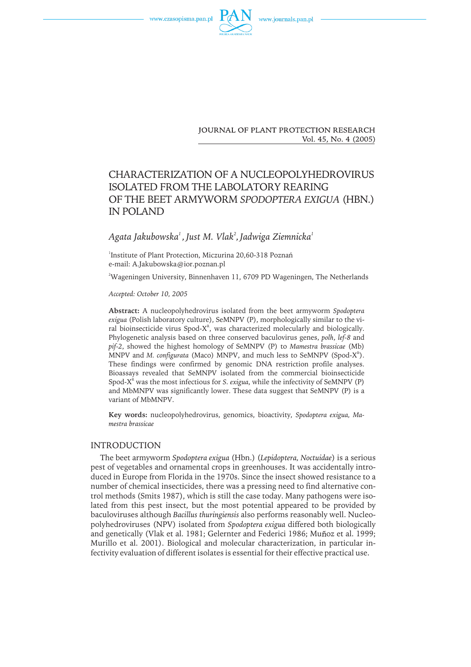



**IOURNAL OF PLANT PROTECTION RESEARCH** Vol. 45, No. 4 (2005)

# CHARACTERIZATION OF A NUCLEOPOLYHEDROVIRUS ISOLATED FROM THE LABOLATORY REARING OF THE BEET ARMYWORM *SPODOPTERA EXIGUA* (HBN.) IN POLAND

## *Agata Jakubowska1 ,Just M. Vlak2 ,Jadwiga Ziemnicka1*

1 Institute of Plant Protection, Miczurina 20,60-318 Poznań e-mail: A.Jakubowska@ior.poznan.pl

 $^2$ Wageningen University, Binnenhaven 11, 6709 PD Wageningen, The Netherlands

#### *Accepted: October 10, 2005*

**Abstract:** A nucleopolyhedrovirus isolated from the beet armyworm *Spodoptera exigua* (Polish laboratory culture), SeMNPV (P), morphologically similar to the viral bioinsecticide virus  $Spod-X^{\mathbb{R}},$  was characterized molecularly and biologically. Phylogenetic analysis based on three conserved baculovirus genes, *polh*, *lef-8* and *pif-2*, showed the highest homology of SeMNPV (P) to *Mamestra brassicae* (Mb) MNPV and *M. configurata* (Maco) MNPV, and much less to SeMNPV (Spod-X $^{\text{\tiny R}}$ ). These findings were confirmed by genomic DNA restriction profile analyses. Bioassays revealed that SeMNPV isolated from the commercial bioinsecticide Spod-X<sup>R</sup> was the most infectious for *S. exigua,* while the infectivity of SeMNPV (P) and MbMNPV was significantly lower. These data suggest that SeMNPV (P) is a variant of MbMNPV.

**Key words:** nucleopolyhedrovirus, genomics, bioactivity, *Spodoptera exigua, Mamestra brassicae*

## INTRODUCTION

The beet armyworm *Spodoptera exigua* (Hbn.) (*Lepidoptera, Noctuidae*) is a serious pest of vegetables and ornamental crops in greenhouses. It was accidentally introduced in Europe from Florida in the 1970s. Since the insect showed resistance to a number of chemical insecticides, there was a pressing need to find alternative control methods (Smits 1987), which is still the case today. Many pathogens were isolated from this pest insect, but the most potential appeared to be provided by baculoviruses although *Bacillus thuringiensis* also performs reasonably well. Nucleopolyhedroviruses (NPV) isolated from *Spodoptera exigua* differed both biologically and genetically (Vlak et al. 1981; Gelernter and Federici 1986; Muñoz et al. 1999; Murillo et al. 2001). Biological and molecular characterization, in particular infectivity evaluation of different isolates is essential for their effective practical use.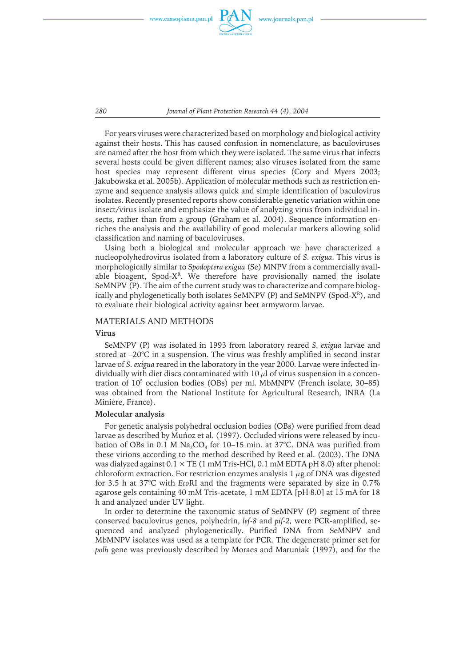

*280 Journal of Plant Protection Research 44 (4), 2004*

For years viruses were characterized based on morphology and biological activity against their hosts. This has caused confusion in nomenclature, as baculoviruses are named after the host from which they were isolated. The same virus that infects several hosts could be given different names; also viruses isolated from the same host species may represent different virus species (Cory and Myers 2003; Jakubowska et al. 2005b). Application of molecular methods such as restriction enzyme and sequence analysis allows quick and simple identification of baculovirus isolates. Recently presented reports show considerable genetic variation within one insect/virus isolate and emphasize the value of analyzing virus from individual insects, rather than from a group (Graham et al. 2004). Sequence information enriches the analysis and the availability of good molecular markers allowing solid classification and naming of baculoviruses.

Using both a biological and molecular approach we have characterized a nucleopolyhedrovirus isolated from a laboratory culture of *S. exigua*. This virus is morphologically similar to S*podoptera exigua* (Se) MNPV from a commercially available bioagent, Spod-XR. We therefore have provisionally named the isolate SeMNPV (P). The aim of the current study was to characterize and compare biologically and phylogenetically both isolates SeMNPV (P) and SeMNPV (Spod- $X<sup>R</sup>$ ), and to evaluate their biological activity against beet armyworm larvae.

#### MATERIALS AND METHODS

#### **Virus**

SeMNPV (P) was isolated in 1993 from laboratory reared *S. exigua* larvae and stored at –20°C in a suspension. The virus was freshly amplified in second instar larvae of *S. exigua* reared in the laboratory in the year 2000. Larvae were infected individually with diet discs contaminated with  $10 \mu l$  of virus suspension in a concentration of  $10^5$  occlusion bodies (OBs) per ml. MbMNPV (French isolate, 30–85) was obtained from the National Institute for Agricultural Research, INRA (La Miniere, France).

#### **Molecular analysis**

For genetic analysis polyhedral occlusion bodies (OBs) were purified from dead larvae as described by Muńoz et al. (1997). Occluded virions were released by incubation of OBs in 0.1 M  $Na<sub>2</sub>CO<sub>3</sub>$  for 10–15 min. at 37°C. DNA was purified from these virions according to the method described by Reed et al. (2003). The DNA was dialyzed against  $0.1 \times TE$  (1 mM Tris-HCl, 0.1 mM EDTA pH 8.0) after phenol: chloroform extraction. For restriction enzymes analysis 1  $\mu$ g of DNA was digested for 3.5 h at 37°C with *Eco*RI and the fragments were separated by size in 0.7% agarose gels containing 40 mM Tris-acetate, 1 mM EDTA [pH 8.0] at 15 mA for 18 h and analyzed under UV light.

In order to determine the taxonomic status of SeMNPV (P) segment of three conserved baculovirus genes, polyhedrin, *lef-8* and *pif-2,* were PCR-amplified, sequenced and analyzed phylogenetically. Purified DNA from SeMNPV and MbMNPV isolates was used as a template for PCR. The degenerate primer set for *polh* gene was previously described by Moraes and Maruniak (1997), and for the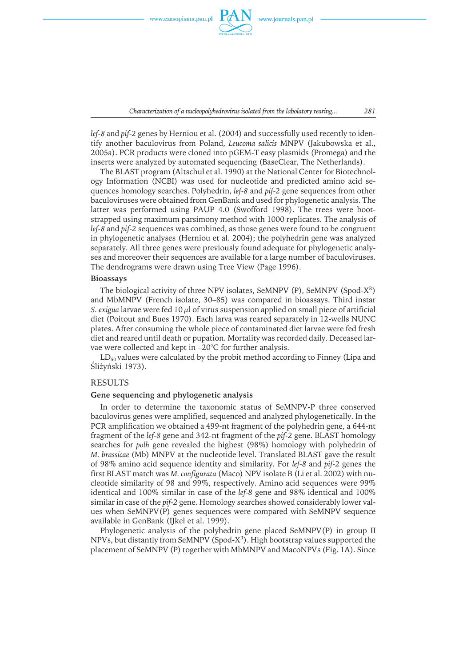

*Characterization of a nucleopolyhedrovirus isolated from the labolatory rearing... 281*

*lef-8* and *pif-2* genes by Herniou et al. (2004) and successfully used recently to identify another baculovirus from Poland, *Leucoma salicis* MNPV (Jakubowska et al., 2005a). PCR products were cloned into pGEM-T easy plasmids (Promega) and the inserts were analyzed by automated sequencing (BaseClear, The Netherlands).

The BLAST program (Altschul et al. 1990) at the National Center for Biotechnology Information (NCBI) was used for nucleotide and predicted amino acid sequences homology searches. Polyhedrin, *lef-8* and *pif-2* gene sequences from other baculoviruses were obtained from GenBank and used for phylogenetic analysis. The latter was performed using PAUP 4.0 (Swofford 1998). The trees were bootstrapped using maximum parsimony method with 1000 replicates. The analysis of *lef-8* and *pif-2* sequences was combined, as those genes were found to be congruent in phylogenetic analyses (Herniou et al. 2004); the polyhedrin gene was analyzed separately. All three genes were previously found adequate for phylogenetic analyses and moreover their sequences are available for a large number of baculoviruses. The dendrograms were drawn using Tree View (Page 1996).

#### **Bioassays**

The biological activity of three NPV isolates, SeMNPV (P), SeMNPV (Spod-X<sup>R</sup>) and MbMNPV (French isolate, 30–85) was compared in bioassays. Third instar *S. exigua* larvae were fed  $10 \mu l$  of virus suspension applied on small piece of artificial diet (Poitout and Bues 1970). Each larva was reared separately in 12-wells NUNC plates. After consuming the whole piece of contaminated diet larvae were fed fresh diet and reared until death or pupation. Mortality was recorded daily. Deceased larvae were collected and kept in –20°C for further analysis.

 $LD_{50}$  values were calculated by the probit method according to Finney (Lipa and Śliżyński 1973).

#### RESULTS

#### **Gene sequencing and phylogenetic analysis**

In order to determine the taxonomic status of SeMNPV-P three conserved baculovirus genes were amplified, sequenced and analyzed phylogenetically. In the PCR amplification we obtained a 499-nt fragment of the polyhedrin gene, a 644-nt fragment of the *lef-8* gene and 342-nt fragment of the *pif-2* gene. BLAST homology searches for *polh* gene revealed the highest (98%) homology with polyhedrin of *M. brassicae* (Mb) MNPV at the nucleotide level. Translated BLAST gave the result of 98% amino acid sequence identity and similarity. For *lef-8* and *pif-2* genes the first BLAST match was *M. configurata* (Maco) NPV isolate B (Li et al. 2002) with nucleotide similarity of 98 and 99%, respectively. Amino acid sequences were 99% identical and 100% similar in case of the *lef-8* gene and 98% identical and 100% similar in caseof the *pif-2* gene. Homology searches showed considerably lower values when SeMNPV(P) genes sequences were compared with SeMNPV sequence available in GenBank (IJkel et al. 1999).

Phylogenetic analysis of the polyhedrin gene placed SeMNPV(P) in group II NPVs, but distantly from SeMNPV (Spod- $X<sup>R</sup>$ ). High bootstrap values supported the placement of SeMNPV (P) together with MbMNPV and MacoNPVs (Fig. 1A). Since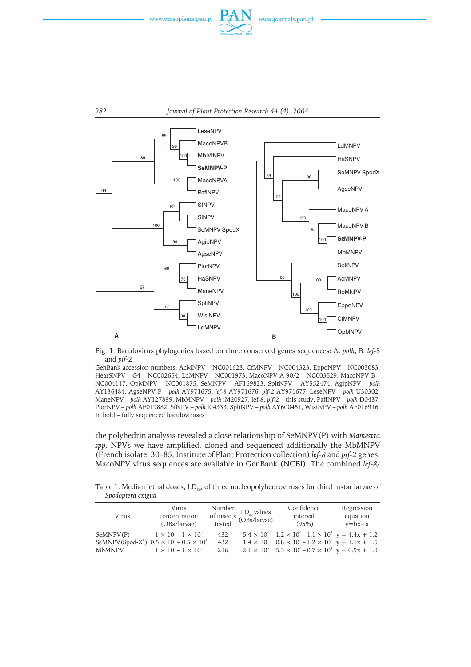





Fig. 1. Baculovirus phylogenies based on three conserved genes sequences: A. *polh*, B. *lef-*8 and *pif*-2

GenBank accession numbers: AcMNPV – NC001623, CfMNPV – NC004323, EppoNPV – NC003083, HearSNPV – G4 – NC002654, LdMNPV – NC001973, MacoNPV-A 90/2 – NC003529, MacoNPV-B – NC004117, OpMNPV – NC001875, SeMNPV – AF169823, SpltNPV – AY552474**,** AgipNPV – *polh* AY136484, AgseNPV-P – *polh* AY971675, *lef-8* AY971676, *pif-2* AY971677, LeseNPV – *polh* U30302, ManeNPV – *polh* AY127899, MbMNPV – *polh* iM20927, lef*-8*, *pif-2* – this study, PaflNPV – *polh* D0437, PlorNPV – *polh* AF019882, SfNPV – *polh* J04333, SpliNPV – *polh* AY600451, WisiNPV – *polh* AF016916. In bold – fully sequenced baculoviruses

the polyhedrin analysis revealed a close relationship of SeMNPV(P) with *Mamestra spp.* NPVs we have amplified, cloned and sequenced additionally the MbMNPV (French isolate, 30–85, Institute of Plant Protection collection) *lef-8* and *pif-2* genes. MacoNPV virus sequences are available in GenBank (NCBI). The combined *lef-8/*

Table 1. Median lethal doses, LD<sub>50</sub>, of three nucleopolyhedroviruses for third instar larvae of *Spodoptera exigua*

| Virus     | Virus<br>concentration<br>(OBs/larvae)                               | tested | Number<br>of insects LD <sub>50</sub> values<br>tested (OBs/larvae) | Confidence<br>interval<br>(95%)                                              | Regression<br>equation<br>$y = bx + a$ |
|-----------|----------------------------------------------------------------------|--------|---------------------------------------------------------------------|------------------------------------------------------------------------------|----------------------------------------|
| SeMNPV(P) | $1 \times 10^{1} - 1 \times 10^{6}$                                  | 432    |                                                                     | $5.4 \times 10^2$ $1.2 \times 10^2 - 1.1 \times 10^3$ y = 4.4x + 1.2         |                                        |
|           | SeMNPV(Spod-X <sup>R</sup> ) $0.5 \times 10^{1} - 0.5 \times 10^{3}$ | 432    |                                                                     | $1.4 \times 10^{1}$ $0.8 \times 10^{1} - 1.2 \times 10^{1}$ y = $1.1x + 1.5$ |                                        |
| MbMNPV    | $1 \times 10^{1} - 1 \times 10^{6}$                                  | 216    |                                                                     | $2.1 \times 10^3$ $5.3 \times 10^2 - 0.7 \times 10^4$ y = 0.9x + 1.9         |                                        |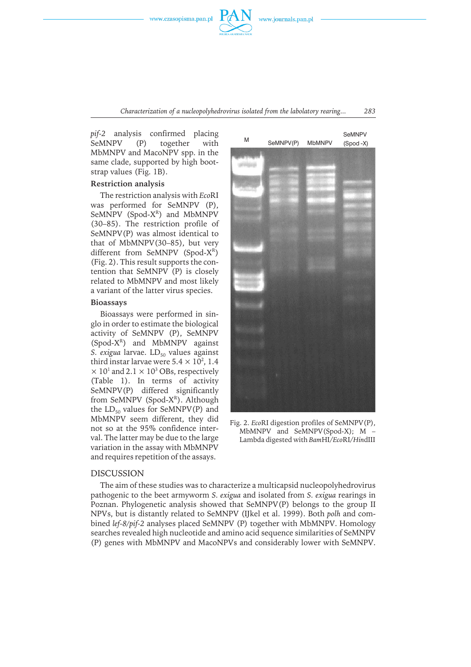

*Characterization of a nucleopolyhedrovirus isolated from the labolatory rearing... 283*

*pif-2* analysis confirmed placing SeMNPV (P) together with MbMNPV and MacoNPV spp. in the same clade, supported by high bootstrap values (Fig. 1B).

## **Restriction analysis**

The restriction analysis with *Eco*RI was performed for SeMNPV (P), SeMNPV (Spod- $X<sup>R</sup>$ ) and MbMNPV  $(30-85)$ . The restriction profile of SeMNPV(P) was almost identical to that of MbMNPV(30–85), but very different from SeMNPV (Spod- $X<sup>R</sup>$ ) (Fig. 2). This result supports the contention that SeMNPV (P) is closely related to MbMNPV and most likely a variant of the latter virus species.

## **Bioassays**

Bioassays were performed in singlo in order to estimate the biological activity of SeMNPV (P), SeMNPV (Spod- $X^R$ ) and MbMNPV against *S. exigua* larvae. LD<sub>50</sub> values against third instar larvae were  $5.4 \times 10^2$ , 1.4  $\times$  10<sup>1</sup> and 2.1  $\times$  10<sup>3</sup> OBs, respectively (Table 1). In terms of activity SeMNPV(P) differed significantly from SeMNPV (Spod- $X<sup>R</sup>$ ). Although the  $LD_{50}$  values for SeMNPV(P) and MbMNPV seem different, they did not so at the 95% confidence interval. The latter may be due to the large variation in the assay with MbMNPV and requires repetition of the assays.



Fig. 2. *Eco*RI digestion profiles of SeMNPV(P), MbMNPV and SeMNPV(Spod-X); M – Lambda digested with *Bam*HI/*Eco*RI/*Hin*dIII

#### DISCUSSION

The aim of these studies was to characterize a multicapsid nucleopolyhedrovirus pathogenic to the beet armyworm *S. exigua* and isolated from *S. exigua* rearings in Poznan. Phylogenetic analysis showed that SeMNPV(P) belongs to the group II NPVs, but is distantly related to SeMNPV (IJkel et al. 1999). Both *polh* and combined *lef-8/pif-2* analyses placed SeMNPV (P) together with MbMNPV. Homology searches revealed high nucleotide and amino acid sequence similarities of SeMNPV (P) genes with MbMNPV and MacoNPVs and considerably lower with SeMNPV.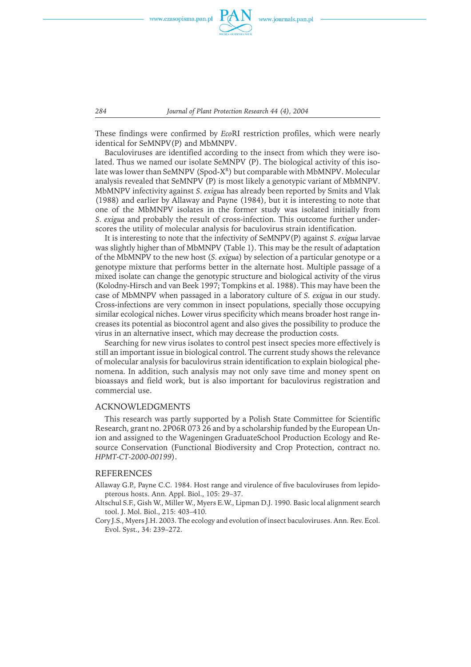

These findings were confirmed by *Eco*RI restriction profiles, which were nearly identical for SeMNPV(P) and MbMNPV.

Baculoviruses are identified according to the insect from which they were isolated. Thus we named our isolate SeMNPV (P). The biological activity of this isolate was lower than SeMNPV (Spod-XR) but comparable with MbMNPV. Molecular analysis revealed that SeMNPV (P) is most likely a genotypic variant of MbMNPV. MbMNPV infectivity against *S. exigua* has already been reported by Smits and Vlak (1988) and earlier by Allaway and Payne (1984), but it is interesting to note that one of the MbMNPV isolates in the former study was isolated initially from *S. exigua* and probably the result of cross-infection. This outcome further underscores the utility of molecular analysis for baculovirus strain identification.

It is interesting to note that the infectivity of SeMNPV(P) against *S. exigua* larvae was slightly higher than of MbMNPV (Table 1). This may be the result of adaptation of the MbMNPV to the new host (*S. exigua*) by selection of a particular genotype or a genotype mixture that performs better in the alternate host. Multiple passage of a mixed isolate can change the genotypic structure and biological activity of the virus (Kolodny-Hirsch and van Beek 1997; Tompkins et al. 1988). This may have been the case of MbMNPV when passaged in a laboratory culture of *S. exigua* in our study. Cross-infections are very common in insect populations, specially those occupying similar ecological niches. Lower virus specificity which means broader host range increases its potential as biocontrol agent and also gives the possibility to produce the virus in an alternative insect, which may decrease the production costs.

Searching for new virus isolates to control pest insect species more effectively is still an important issue in biological control. The current study shows the relevance of molecular analysis for baculovirus strain identification to explain biological phenomena. In addition, such analysis may not only save time and money spent on bioassays and field work, but is also important for baculovirus registration and commercial use.

#### ACKNOWLEDGMENTS

This research was partly supported by a Polish State Committee for Scientific Research, grant no. 2P06R 073 26 and by a scholarship funded by the European Union and assigned to the Wageningen GraduateSchool Production Ecology and Resource Conservation (Functional Biodiversity and Crop Protection, contract no. *HPMT-CT-2000-00199*).

#### REFERENCES

- Allaway G.P., Payne C.C. 1984. Host range and virulence of five baculoviruses from lepidopterous hosts. Ann. Appl. Biol., 105: 29–37.
- Altschul S.F., Gish W., Miller W., Myers E.W., Lipman D.J. 1990. Basic local alignment search tool. J. Mol. Biol., 215: 403–410.
- Cory J.S., Myers J.H. 2003. The ecology and evolution of insect baculoviruses. Ann. Rev. Ecol. Evol. Syst., 34: 239–272.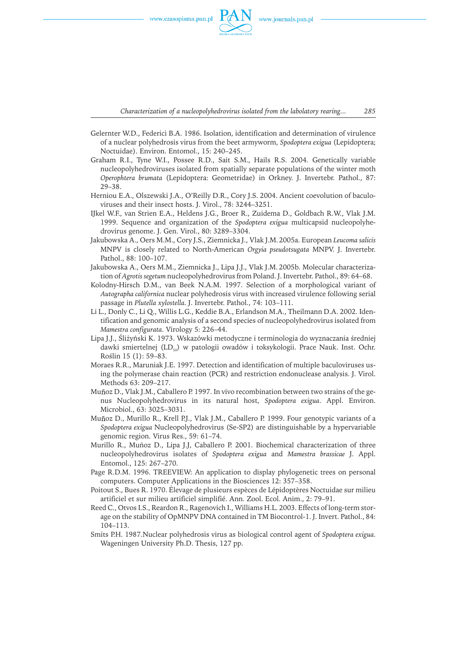

*Characterization of a nucleopolyhedrovirus isolated from the labolatory rearing... 285*

- Gelernter W.D., Federici B.A. 1986. Isolation, identification and determination of virulence of a nuclear polyhedrosis virus from the beet armyworm, *Spodoptera exigua* (Lepidoptera; Noctuidae). Environ. Entomol., 15: 240–245.
- Graham R.I., Tyne W.I., Possee R.D., Sait S.M., Hails R.S. 2004. Genetically variable nucleopolyhedroviruses isolated from spatially separate populations of the winter moth *Operophtera brumata* (Lepidoptera: Geometridae) in Orkney. J. Invertebr. Pathol., 87: 29–38.
- Herniou E.A., Olszewski J.A., O'Reilly D.R., Cory J.S. 2004. Ancient coevolution of baculoviruses and their insect hosts. J. Virol., 78: 3244–3251.
- IJkel W.F., van Strien E.A., Heldens J.G., Broer R., Zuidema D., Goldbach R.W., Vlak J.M. 1999. Sequence and organization of the *Spodoptera exigua* multicapsid nucleopolyhedrovirus genome. J. Gen. Virol., 80: 3289–3304.
- Jakubowska A., Oers M.M., Cory J.S., Ziemnicka J., Vlak J.M.2005a. European *Leucoma salicis* MNPV is closely related to North-American *Orgyia pseudotsugata* MNPV. J. Invertebr. Pathol., 88: 100–107.
- Jakubowska A., Oers M.M., Ziemnicka J., Lipa J.J., Vlak J.M. 2005b. Molecular characterization of *Agrotis segetum* nucleopolyhedrovirus from Poland. J. Invertebr. Pathol., 89: 64–68.
- Kolodny-Hirsch D.M., van Beek N.A.M. 1997. Selection of a morphological variant of *Autographa californica* nuclear polyhedrosis virus with increased virulence following serial passage in *Plutella xylostella.* J. Invertebr. Pathol., 74: 103–111.
- Li L., Donly C., Li Q., Willis L.G., Keddie B.A., Erlandson M.A., Theilmann D.A. 2002. Identification and genomic analysis of a second species of nucleopolyhedrovirus isolated from *Mamestra configurata*. Virology 5: 226–44.
- Lipa J.J., Śliżyński K. 1973. Wskazówki metodyczne i terminologia do wyznaczania średniej dawki smiertelnej (LD<sub>50</sub>) w patologii owadów i toksykologii. Prace Nauk. Inst. Ochr. Roślin 15 (1): 59–83.
- Moraes R.R., Maruniak J.E. 1997. Detection and identification of multiple baculoviruses using the polymerase chain reaction (PCR) and restriction endonuclease analysis. J. Virol. Methods 63: 209–217.
- Muñoz D., Vlak J.M., Caballero P. 1997. In vivo recombination between two strains of the genus Nucleopolyhedrovirus in its natural host, *Spodoptera exigua*. Appl. Environ. Microbiol., 63: 3025–3031.
- Muñoz D., Murillo R., Krell P.J., Vlak J.M., Caballero P. 1999. Four genotypic variants of a *Spodoptera exigua* Nucleopolyhedrovirus (Se-SP2) are distinguishable by a hypervariable genomic region. Virus Res., 59: 61–74.
- Murillo R., Muńoz D., Lipa J.J, Caballero P. 2001. Biochemical characterization of three nucleopolyhedrovirus isolates of *Spodoptera exigua* and *Mamestra brassicae* J. Appl. Entomol., 125: 267–270.
- Page R.D.M. 1996. TREEVIEW: An application to display phylogenetic trees on personal computers. Computer Applications in the Biosciences 12: 357–358.
- Poitout S., Bues R. 1970. Élevage de plusieurs espèces de Lépidoptères Noctuidae sur milieu artificiel et sur milieu artificiel simplifié. Ann. Zool. Ecol. Anim., 2: 79–91.
- Reed C., Otvos I.S., Reardon R., Ragenovich I., Williams H.L. 2003. Effects of long-term storage on the stability of OpMNPV DNA contained in TM Biocontrol-1. J. Invert. Pathol., 84: 104–113.
- Smits P.H. 1987.Nuclear polyhedrosis virus as biological control agent of *Spodoptera exigua.* Wageningen University Ph.D. Thesis, 127 pp.